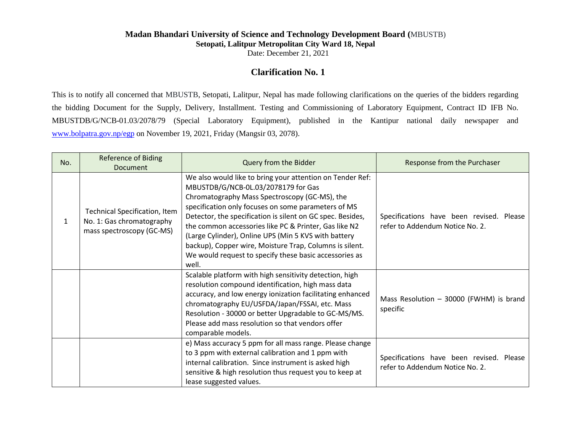## **Madan Bhandari University of Science and Technology Development Board (**MBUSTB) **Setopati, Lalitpur Metropolitan City Ward 18, Nepal**

Date: December 21, 2021

## **Clarification No. 1**

This is to notify all concerned that MBUSTB, Setopati, Lalitpur, Nepal has made following clarifications on the queries of the bidders regarding the bidding Document for the Supply, Delivery, Installment. Testing and Commissioning of Laboratory Equipment, Contract ID IFB No. MBUSTDB/G/NCB-01.03/2078/79 (Special Laboratory Equipment), published in the Kantipur national daily newspaper and [www.bolpatra.gov.np/egp](http://www.bolpatra.gov.np/egp) on November 19, 2021, Friday (Mangsir 03, 2078).

| No. | <b>Reference of Biding</b><br><b>Document</b>                                           | Query from the Bidder                                                                                                                                                                                                                                                                                                                                                                                                                                                                                                 | Response from the Purchaser                                                 |
|-----|-----------------------------------------------------------------------------------------|-----------------------------------------------------------------------------------------------------------------------------------------------------------------------------------------------------------------------------------------------------------------------------------------------------------------------------------------------------------------------------------------------------------------------------------------------------------------------------------------------------------------------|-----------------------------------------------------------------------------|
| 1   | Technical Specification, Item<br>No. 1: Gas chromatography<br>mass spectroscopy (GC-MS) | We also would like to bring your attention on Tender Ref:<br>MBUSTDB/G/NCB-0L.03/2078179 for Gas<br>Chromatography Mass Spectroscopy (GC-MS), the<br>specification only focuses on some parameters of MS<br>Detector, the specification is silent on GC spec. Besides,<br>the common accessories like PC & Printer, Gas like N2<br>(Large Cylinder), Online UPS (Min 5 KVS with battery<br>backup), Copper wire, Moisture Trap, Columns is silent.<br>We would request to specify these basic accessories as<br>well. | Specifications have been revised. Please<br>refer to Addendum Notice No. 2. |
|     |                                                                                         | Scalable platform with high sensitivity detection, high<br>resolution compound identification, high mass data<br>accuracy, and low energy ionization facilitating enhanced<br>chromatography EU/USFDA/Japan/FSSAI, etc. Mass<br>Resolution - 30000 or better Upgradable to GC-MS/MS.<br>Please add mass resolution so that vendors offer<br>comparable models.                                                                                                                                                        | Mass Resolution $-$ 30000 (FWHM) is brand<br>specific                       |
|     |                                                                                         | e) Mass accuracy 5 ppm for all mass range. Please change<br>to 3 ppm with external calibration and 1 ppm with<br>internal calibration. Since instrument is asked high<br>sensitive & high resolution thus request you to keep at<br>lease suggested values.                                                                                                                                                                                                                                                           | Specifications have been revised. Please<br>refer to Addendum Notice No. 2. |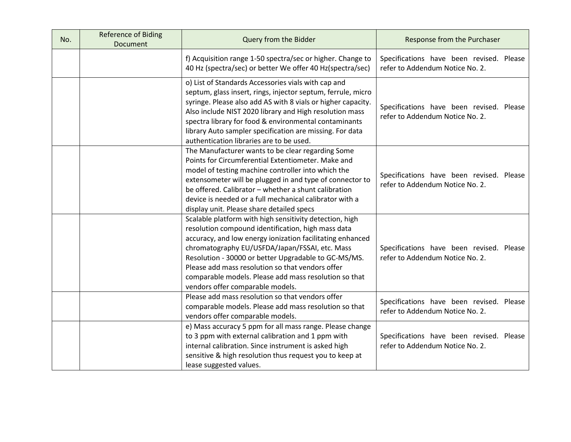| No. | <b>Reference of Biding</b><br>Document | Query from the Bidder                                                                                                                                                                                                                                                                                                                                                                                                                 | Response from the Purchaser                                                 |
|-----|----------------------------------------|---------------------------------------------------------------------------------------------------------------------------------------------------------------------------------------------------------------------------------------------------------------------------------------------------------------------------------------------------------------------------------------------------------------------------------------|-----------------------------------------------------------------------------|
|     |                                        | f) Acquisition range 1-50 spectra/sec or higher. Change to<br>40 Hz (spectra/sec) or better We offer 40 Hz(spectra/sec)                                                                                                                                                                                                                                                                                                               | Specifications have been revised. Please<br>refer to Addendum Notice No. 2. |
|     |                                        | o) List of Standards Accessories vials with cap and<br>septum, glass insert, rings, injector septum, ferrule, micro<br>syringe. Please also add AS with 8 vials or higher capacity.<br>Also include NIST 2020 library and High resolution mass<br>spectra library for food & environmental contaminants<br>library Auto sampler specification are missing. For data<br>authentication libraries are to be used.                       | Specifications have been revised. Please<br>refer to Addendum Notice No. 2. |
|     |                                        | The Manufacturer wants to be clear regarding Some<br>Points for Circumferential Extentiometer. Make and<br>model of testing machine controller into which the<br>extensometer will be plugged in and type of connector to<br>be offered. Calibrator - whether a shunt calibration<br>device is needed or a full mechanical calibrator with a<br>display unit. Please share detailed specs                                             | Specifications have been revised. Please<br>refer to Addendum Notice No. 2. |
|     |                                        | Scalable platform with high sensitivity detection, high<br>resolution compound identification, high mass data<br>accuracy, and low energy ionization facilitating enhanced<br>chromatography EU/USFDA/Japan/FSSAI, etc. Mass<br>Resolution - 30000 or better Upgradable to GC-MS/MS.<br>Please add mass resolution so that vendors offer<br>comparable models. Please add mass resolution so that<br>vendors offer comparable models. | Specifications have been revised. Please<br>refer to Addendum Notice No. 2. |
|     |                                        | Please add mass resolution so that vendors offer<br>comparable models. Please add mass resolution so that<br>vendors offer comparable models.                                                                                                                                                                                                                                                                                         | Specifications have been revised. Please<br>refer to Addendum Notice No. 2. |
|     |                                        | e) Mass accuracy 5 ppm for all mass range. Please change<br>to 3 ppm with external calibration and 1 ppm with<br>internal calibration. Since instrument is asked high<br>sensitive & high resolution thus request you to keep at<br>lease suggested values.                                                                                                                                                                           | Specifications have been revised. Please<br>refer to Addendum Notice No. 2. |